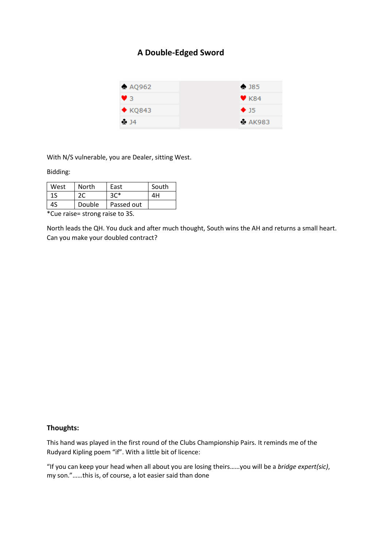## **A Double-Edged Sword**



With N/S vulnerable, you are Dealer, sitting West.

## Bidding:

| West     | North  | East       | South |
|----------|--------|------------|-------|
| 1S       | 2C     | $3C*$      | ΔH    |
| 4S       | Double | Passed out |       |
| $\cdots$ |        |            |       |

\*Cue raise= strong raise to 3S.

North leads the QH. You duck and after much thought, South wins the AH and returns a small heart. Can you make your doubled contract?

## **Thoughts:**

This hand was played in the first round of the Clubs Championship Pairs. It reminds me of the Rudyard Kipling poem "if". With a little bit of licence:

"If you can keep your head when all about you are losing theirs……you will be a *bridge expert(sic)*, my son."……this is, of course, a lot easier said than done